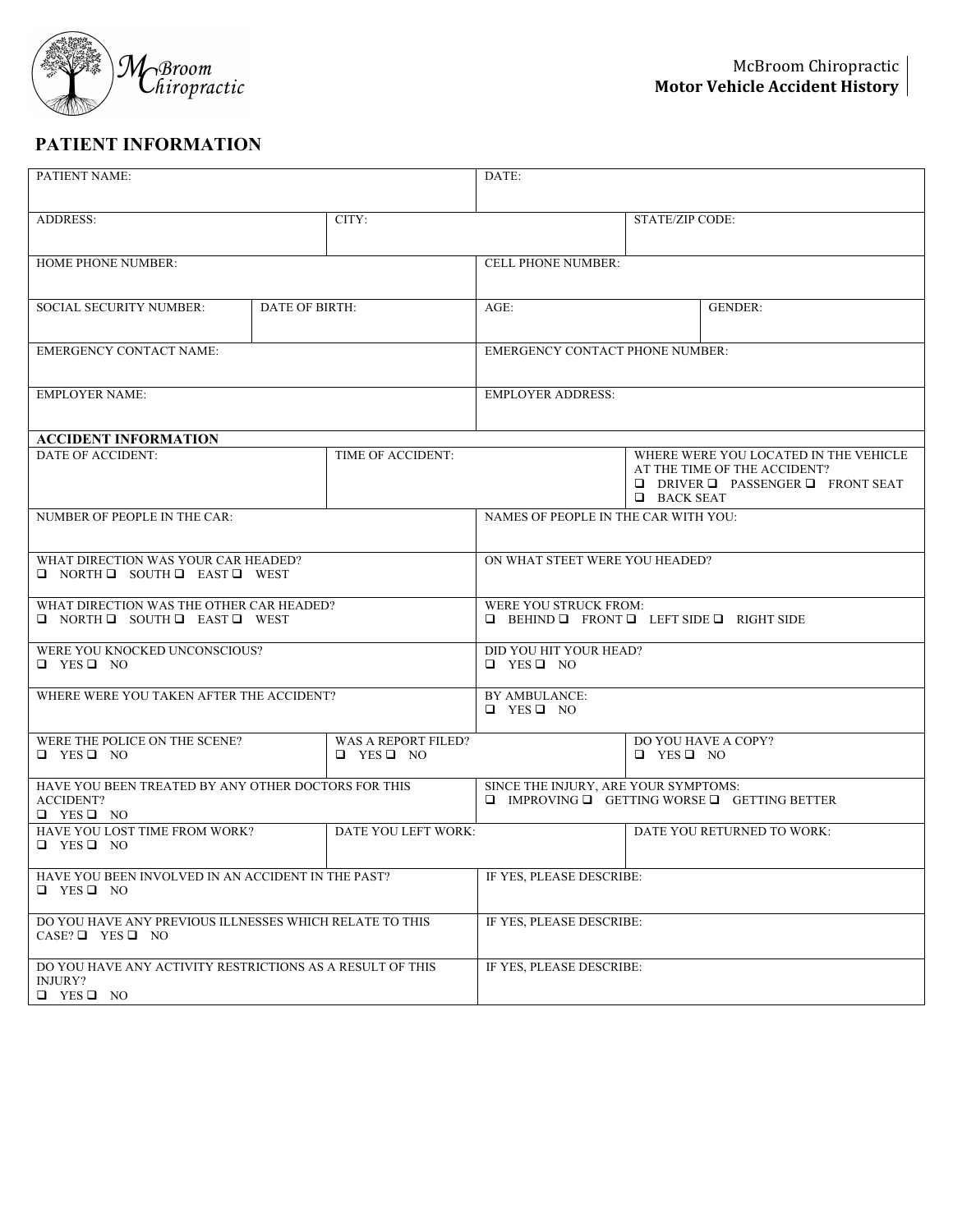

## **PATIENT INFORMATION**

| PATIENT NAME:                                                                                   |                | DATE:                                                                                               |                                                                                        |                            |                                                                                                                           |
|-------------------------------------------------------------------------------------------------|----------------|-----------------------------------------------------------------------------------------------------|----------------------------------------------------------------------------------------|----------------------------|---------------------------------------------------------------------------------------------------------------------------|
| <b>ADDRESS:</b>                                                                                 |                | CITY:                                                                                               |                                                                                        | <b>STATE/ZIP CODE:</b>     |                                                                                                                           |
| HOME PHONE NUMBER:                                                                              |                | <b>CELL PHONE NUMBER:</b>                                                                           |                                                                                        |                            |                                                                                                                           |
| <b>SOCIAL SECURITY NUMBER:</b>                                                                  | DATE OF BIRTH: |                                                                                                     | $AGE$ :                                                                                |                            | <b>GENDER:</b>                                                                                                            |
| <b>EMERGENCY CONTACT NAME:</b>                                                                  |                | <b>EMERGENCY CONTACT PHONE NUMBER:</b>                                                              |                                                                                        |                            |                                                                                                                           |
| <b>EMPLOYER NAME:</b>                                                                           |                |                                                                                                     | <b>EMPLOYER ADDRESS:</b>                                                               |                            |                                                                                                                           |
| <b>ACCIDENT INFORMATION</b>                                                                     |                |                                                                                                     |                                                                                        |                            |                                                                                                                           |
| <b>DATE OF ACCIDENT:</b>                                                                        |                | TIME OF ACCIDENT:                                                                                   |                                                                                        | <b>BACK SEAT</b>           | WHERE WERE YOU LOCATED IN THE VEHICLE<br>AT THE TIME OF THE ACCIDENT?<br>$\Box$ DRIVER $\Box$ PASSENGER $\Box$ FRONT SEAT |
| NUMBER OF PEOPLE IN THE CAR:                                                                    |                | NAMES OF PEOPLE IN THE CAR WITH YOU:                                                                |                                                                                        |                            |                                                                                                                           |
| WHAT DIRECTION WAS YOUR CAR HEADED?<br>O NORTH O SOUTH O EAST O WEST                            |                | ON WHAT STEET WERE YOU HEADED?                                                                      |                                                                                        |                            |                                                                                                                           |
| WHAT DIRECTION WAS THE OTHER CAR HEADED?<br>$\Box$ NORTH $\Box$ SOUTH $\Box$ EAST $\Box$ WEST   |                |                                                                                                     | WERE YOU STRUCK FROM:<br>$\Box$ BEHIND $\Box$ FRONT $\Box$ LEFT SIDE $\Box$ RIGHT SIDE |                            |                                                                                                                           |
| WERE YOU KNOCKED UNCONSCIOUS?<br>$\Box$ YES $\Box$ NO                                           |                |                                                                                                     | DID YOU HIT YOUR HEAD?<br>$\Box$ YES $\Box$ NO                                         |                            |                                                                                                                           |
| WHERE WERE YOU TAKEN AFTER THE ACCIDENT?                                                        |                | BY AMBULANCE:<br>$\Box$ YES $\Box$ NO                                                               |                                                                                        |                            |                                                                                                                           |
| WERE THE POLICE ON THE SCENE?<br>$\Box$ YES $\Box$ NO                                           |                | WAS A REPORT FILED?<br>$\Box$ YES $\Box$ NO                                                         |                                                                                        | $\Box$ YES $\Box$ NO       | DO YOU HAVE A COPY?                                                                                                       |
| HAVE YOU BEEN TREATED BY ANY OTHER DOCTORS FOR THIS<br><b>ACCIDENT?</b><br>$\Box$ YES $\Box$ NO |                | SINCE THE INJURY, ARE YOUR SYMPTOMS:<br>$\Box$ IMPROVING $\Box$ GETTING WORSE $\Box$ GETTING BETTER |                                                                                        |                            |                                                                                                                           |
| HAVE YOU LOST TIME FROM WORK?<br>DATE YOU LEFT WORK:<br>$\Box$ YES $\Box$ NO                    |                |                                                                                                     |                                                                                        | DATE YOU RETURNED TO WORK: |                                                                                                                           |
| HAVE YOU BEEN INVOLVED IN AN ACCIDENT IN THE PAST?<br>$\Box$ YES $\Box$ NO                      |                | IF YES, PLEASE DESCRIBE:                                                                            |                                                                                        |                            |                                                                                                                           |
| DO YOU HAVE ANY PREVIOUS ILLNESSES WHICH RELATE TO THIS<br>$CASE? \Box$ YES $\Box$ NO           |                | IF YES, PLEASE DESCRIBE:                                                                            |                                                                                        |                            |                                                                                                                           |
| DO YOU HAVE ANY ACTIVITY RESTRICTIONS AS A RESULT OF THIS<br>INJURY?<br>$\Box$ YES $\Box$ NO    |                | IF YES, PLEASE DESCRIBE:                                                                            |                                                                                        |                            |                                                                                                                           |